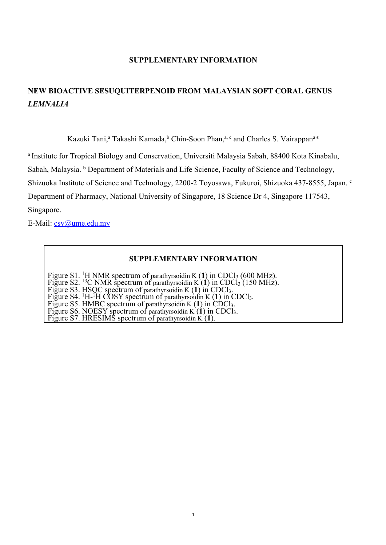## **SUPPLEMENTARY INFORMATION**

## **NEW BIOACTIVE SESUQUITERPENOID FROM MALAYSIAN SOFT CORAL GENUS** *LEMNALIA*

Kazuki Tani,<sup>a</sup> Takashi Kamada, <sup>b</sup> Chin-Soon Phan,<sup>a, c</sup> and Charles S. Vairappan<sup>a\*</sup>

<sup>a</sup> Institute for Tropical Biology and Conservation, Universiti Malaysia Sabah, 88400 Kota Kinabalu,

Sabah, Malaysia. **b** Department of Materials and Life Science, Faculty of Science and Technology,

Shizuoka Institute of Science and Technology, 2200-2 Toyosawa, Fukuroi, Shizuoka 437-8555, Japan. <sup>c</sup>

Department of Pharmacy, National University of Singapore, 18 Science Dr 4, Singapore 117543,

Singapore.

E-Mail: csv@ume.edu.my

## **SUPPLEMENTARY INFORMATION**

Figure S1. <sup>1</sup>H NMR spectrum of parathyrsoidin K (1) in CDCl<sub>3</sub> (600 MHz).

Figure S2. <sup>13</sup>C NMR spectrum of parathyrsoidin K (1) in CDCl<sub>3</sub> (150 MHz).

Figure S3. HSQC spectrum of parathyrsoidin K (1) in CDCl<sub>3</sub>.<br>Figure S4. <sup>1</sup>H-<sup>1</sup>H COSY spectrum of parathyrsoidin K (1) in CDCl<sub>3</sub>.<br>Figure S5. HMBC spectrum of parathyrsoidin K (1) in CDCl<sub>3</sub>.<br>Figure S6. NOESY spectrum of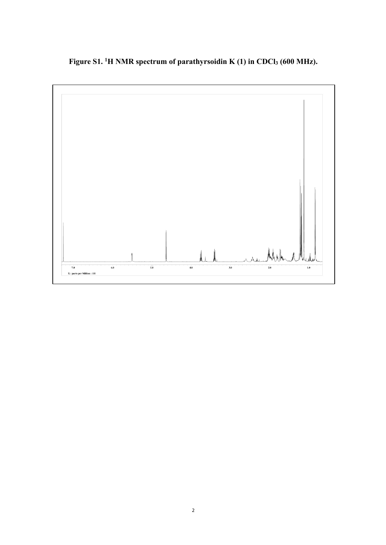**Figure S1. <sup>1</sup> H NMR spectrum of parathyrsoidin K (1) in CDCl3 (600 MHz).**

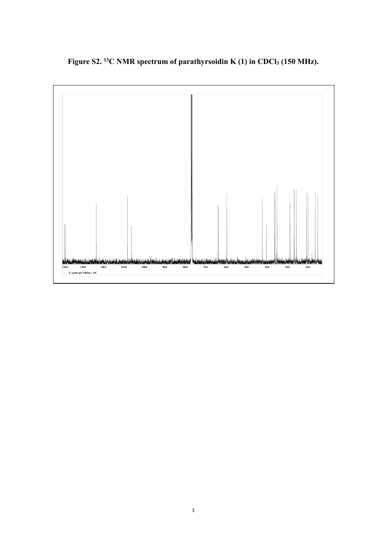**Figure S2. 13C NMR spectrum of parathyrsoidin K (1) in CDCl3 (150 MHz).**

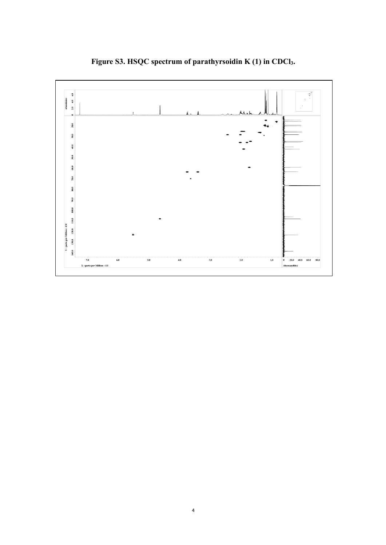

**Figure S3. HSQC spectrum of parathyrsoidin K (1) in CDCl3.**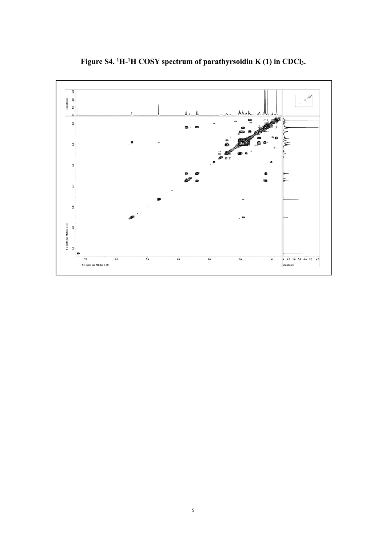

**Figure S4. <sup>1</sup> H-1 H COSY spectrum of parathyrsoidin K (1) in CDCl3.**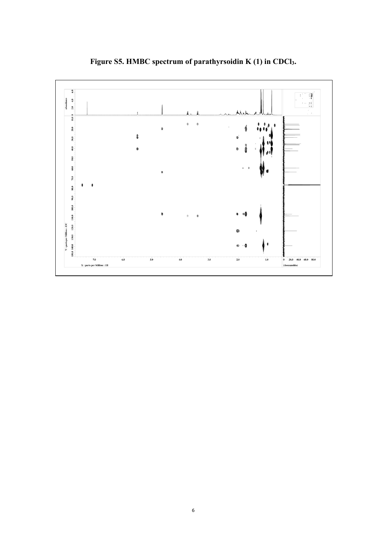

**Figure S5. HMBC spectrum of parathyrsoidin K (1) in CDCl3.**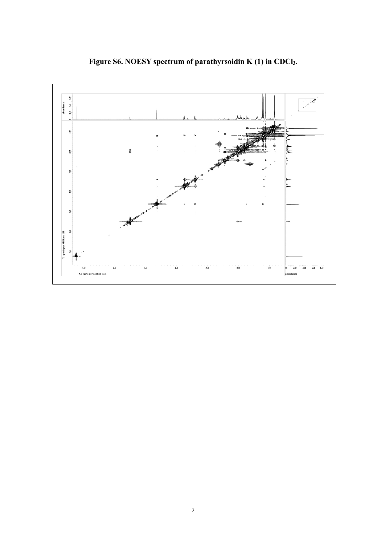

**Figure S6. NOESY spectrum of parathyrsoidin K (1) in CDCl3.**